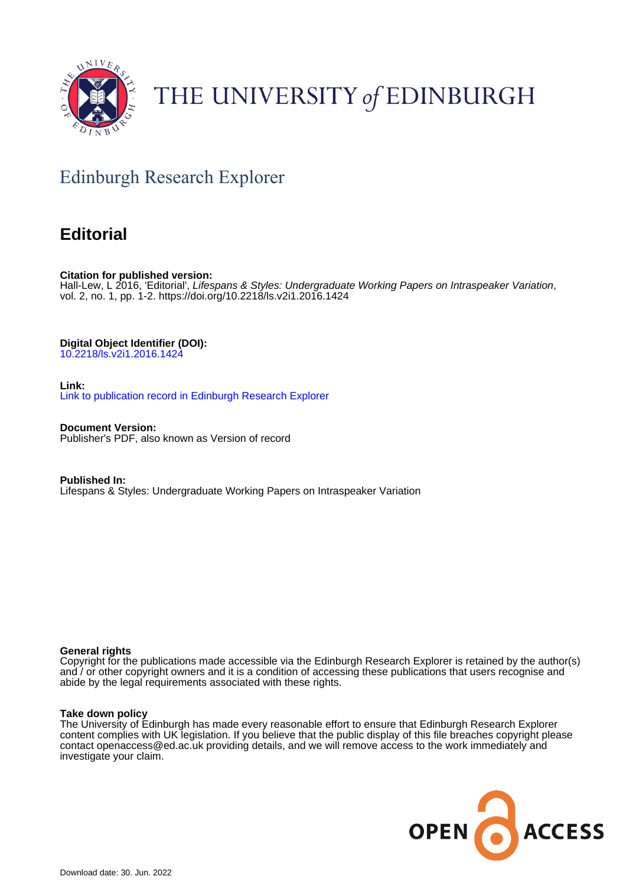

# THE UNIVERSITY of EDINBURGH

# Edinburgh Research Explorer

### **Editorial**

**Citation for published version:** Hall-Lew, L 2016, 'Editorial', Lifespans & Styles: Undergraduate Working Papers on Intraspeaker Variation, vol. 2, no. 1, pp. 1-2. <https://doi.org/10.2218/ls.v2i1.2016.1424>

**Digital Object Identifier (DOI):**

[10.2218/ls.v2i1.2016.1424](https://doi.org/10.2218/ls.v2i1.2016.1424)

**Link:**

[Link to publication record in Edinburgh Research Explorer](https://www.research.ed.ac.uk/en/publications/0da3c04a-ee6a-462a-ab6b-b14ea7d14a4d)

**Document Version:** Publisher's PDF, also known as Version of record

**Published In:** Lifespans & Styles: Undergraduate Working Papers on Intraspeaker Variation

#### **General rights**

Copyright for the publications made accessible via the Edinburgh Research Explorer is retained by the author(s) and / or other copyright owners and it is a condition of accessing these publications that users recognise and abide by the legal requirements associated with these rights.

#### **Take down policy**

The University of Edinburgh has made every reasonable effort to ensure that Edinburgh Research Explorer content complies with UK legislation. If you believe that the public display of this file breaches copyright please contact openaccess@ed.ac.uk providing details, and we will remove access to the work immediately and investigate your claim.

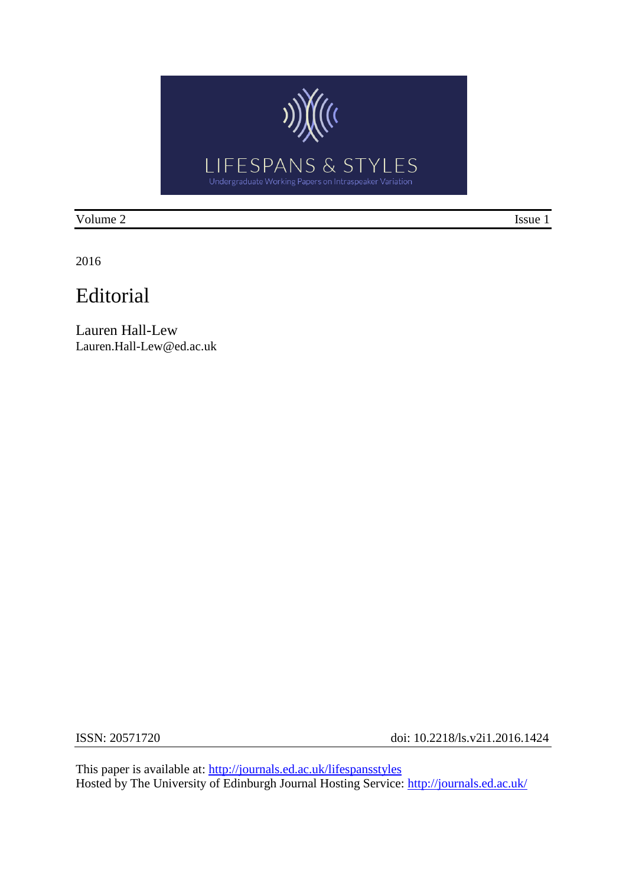

Volume 2 Issue 1

2016

## Editorial

Lauren Hall-Lew Lauren.Hall-Lew@ed.ac.uk

ISSN: 20571720 doi: 10.2218/ls.v2i1.2016.1424

This paper is available at:<http://journals.ed.ac.uk/lifespansstyles> Hosted by The University of Edinburgh Journal Hosting Service: **http://journals.ed.ac.uk/**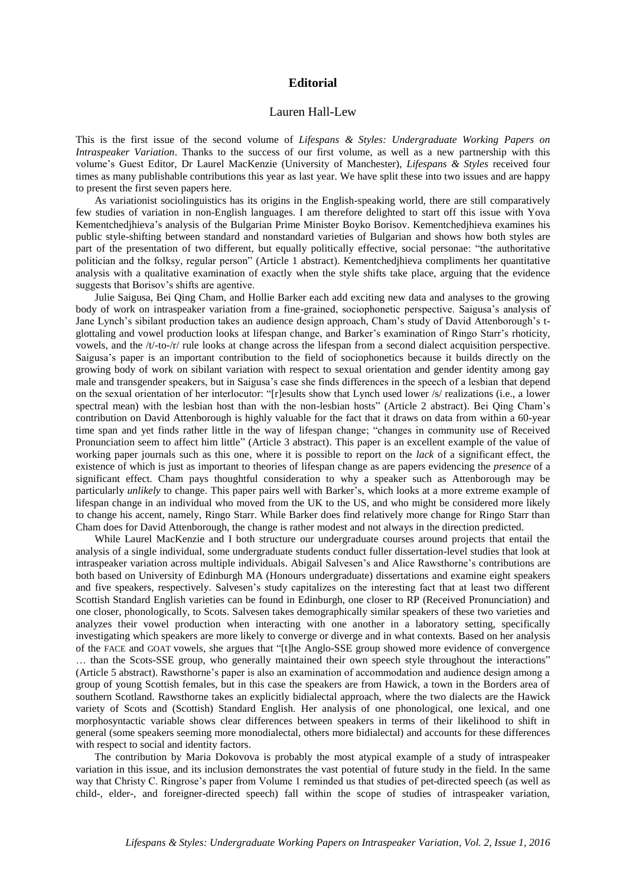#### **Editorial**

#### Lauren Hall-Lew

This is the first issue of the second volume of *Lifespans & Styles: Undergraduate Working Papers on Intraspeaker Variation*. Thanks to the success of our first volume, as well as a new partnership with this volume's Guest Editor, Dr Laurel MacKenzie (University of Manchester), *Lifespans & Styles* received four times as many publishable contributions this year as last year. We have split these into two issues and are happy to present the first seven papers here.

As variationist sociolinguistics has its origins in the English-speaking world, there are still comparatively few studies of variation in non-English languages. I am therefore delighted to start off this issue with Yova Kementchedjhieva's analysis of the Bulgarian Prime Minister Boyko Borisov. Kementchedjhieva examines his public style-shifting between standard and nonstandard varieties of Bulgarian and shows how both styles are part of the presentation of two different, but equally politically effective, social personae: "the authoritative politician and the folksy, regular person" (Article 1 abstract). Kementchedjhieva compliments her quantitative analysis with a qualitative examination of exactly when the style shifts take place, arguing that the evidence suggests that Borisov's shifts are agentive.

Julie Saigusa, Bei Qing Cham, and Hollie Barker each add exciting new data and analyses to the growing body of work on intraspeaker variation from a fine-grained, sociophonetic perspective. Saigusa's analysis of Jane Lynch's sibilant production takes an audience design approach, Cham's study of David Attenborough's tglottaling and vowel production looks at lifespan change, and Barker's examination of Ringo Starr's rhoticity, vowels, and the /t/-to-/r/ rule looks at change across the lifespan from a second dialect acquisition perspective. Saigusa's paper is an important contribution to the field of sociophonetics because it builds directly on the growing body of work on sibilant variation with respect to sexual orientation and gender identity among gay male and transgender speakers, but in Saigusa's case she finds differences in the speech of a lesbian that depend on the sexual orientation of her interlocutor: "[r]esults show that Lynch used lower /s/ realizations (i.e., a lower spectral mean) with the lesbian host than with the non-lesbian hosts" (Article 2 abstract). Bei Qing Cham's contribution on David Attenborough is highly valuable for the fact that it draws on data from within a 60-year time span and yet finds rather little in the way of lifespan change; "changes in community use of Received Pronunciation seem to affect him little" (Article 3 abstract). This paper is an excellent example of the value of working paper journals such as this one, where it is possible to report on the *lack* of a significant effect, the existence of which is just as important to theories of lifespan change as are papers evidencing the *presence* of a significant effect. Cham pays thoughtful consideration to why a speaker such as Attenborough may be particularly *unlikely* to change. This paper pairs well with Barker's, which looks at a more extreme example of lifespan change in an individual who moved from the UK to the US, and who might be considered more likely to change his accent, namely, Ringo Starr. While Barker does find relatively more change for Ringo Starr than Cham does for David Attenborough, the change is rather modest and not always in the direction predicted.

While Laurel MacKenzie and I both structure our undergraduate courses around projects that entail the analysis of a single individual, some undergraduate students conduct fuller dissertation-level studies that look at intraspeaker variation across multiple individuals. Abigail Salvesen's and Alice Rawsthorne's contributions are both based on University of Edinburgh MA (Honours undergraduate) dissertations and examine eight speakers and five speakers, respectively. Salvesen's study capitalizes on the interesting fact that at least two different Scottish Standard English varieties can be found in Edinburgh, one closer to RP (Received Pronunciation) and one closer, phonologically, to Scots. Salvesen takes demographically similar speakers of these two varieties and analyzes their vowel production when interacting with one another in a laboratory setting, specifically investigating which speakers are more likely to converge or diverge and in what contexts. Based on her analysis of the FACE and GOAT vowels, she argues that "[t]he Anglo-SSE group showed more evidence of convergence … than the Scots-SSE group, who generally maintained their own speech style throughout the interactions" (Article 5 abstract). Rawsthorne's paper is also an examination of accommodation and audience design among a group of young Scottish females, but in this case the speakers are from Hawick, a town in the Borders area of southern Scotland. Rawsthorne takes an explicitly bidialectal approach, where the two dialects are the Hawick variety of Scots and (Scottish) Standard English. Her analysis of one phonological, one lexical, and one morphosyntactic variable shows clear differences between speakers in terms of their likelihood to shift in general (some speakers seeming more monodialectal, others more bidialectal) and accounts for these differences with respect to social and identity factors.

The contribution by Maria Dokovova is probably the most atypical example of a study of intraspeaker variation in this issue, and its inclusion demonstrates the vast potential of future study in the field. In the same way that Christy C. Ringrose's paper from Volume 1 reminded us that studies of pet-directed speech (as well as child-, elder-, and foreigner-directed speech) fall within the scope of studies of intraspeaker variation,